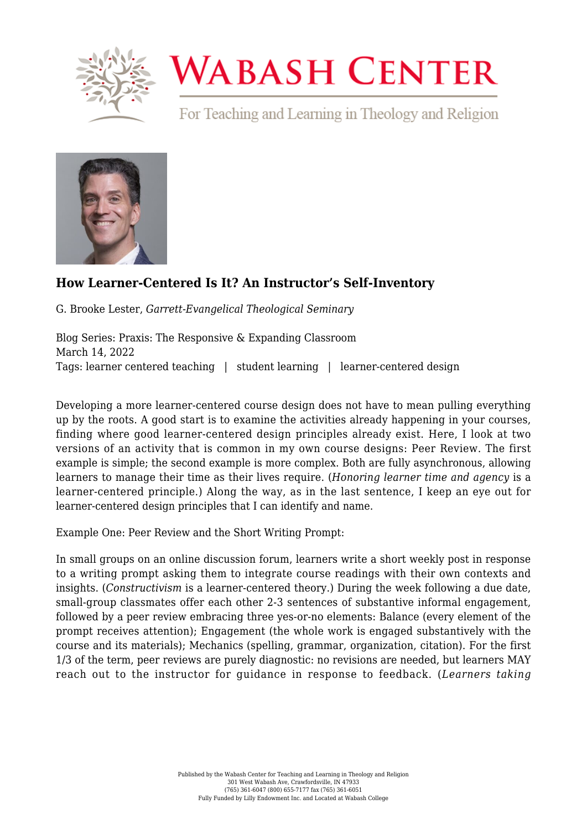

## **WABASH CENTER**

For Teaching and Learning in Theology and Religion



## **[How Learner-Centered Is It? An Instructor's Self-Inventory](https://www.wabashcenter.wabash.edu/2022/03/how-learner-centered-is-it-an-instructors-self-inventory/)**

G. Brooke Lester, *Garrett-Evangelical Theological Seminary*

Blog Series: Praxis: The Responsive & Expanding Classroom March 14, 2022 Tags: learner centered teaching | student learning | learner-centered design

Developing a more learner-centered course design does not have to mean pulling everything up by the roots. A good start is to examine the activities already happening in your courses, finding where good learner-centered design principles already exist. Here, I look at two versions of an activity that is common in my own course designs: Peer Review. The first example is simple; the second example is more complex. Both are fully asynchronous, allowing learners to manage their time as their lives require. (*Honoring learner time and agency* is a learner-centered principle.) Along the way, as in the last sentence, I keep an eye out for learner-centered design principles that I can identify and name.

Example One: Peer Review and the Short Writing Prompt:

In small groups on an online discussion forum, learners write a short weekly post in response to a writing prompt asking them to integrate course readings with their own contexts and insights. (*Constructivism* is a learner-centered theory.) During the week following a due date, small-group classmates offer each other 2-3 sentences of substantive informal engagement, followed by a peer review embracing three yes-or-no elements: Balance (every element of the prompt receives attention); Engagement (the whole work is engaged substantively with the course and its materials); Mechanics (spelling, grammar, organization, citation). For the first 1/3 of the term, peer reviews are purely diagnostic: no revisions are needed, but learners MAY reach out to the instructor for guidance in response to feedback. (*Learners taking*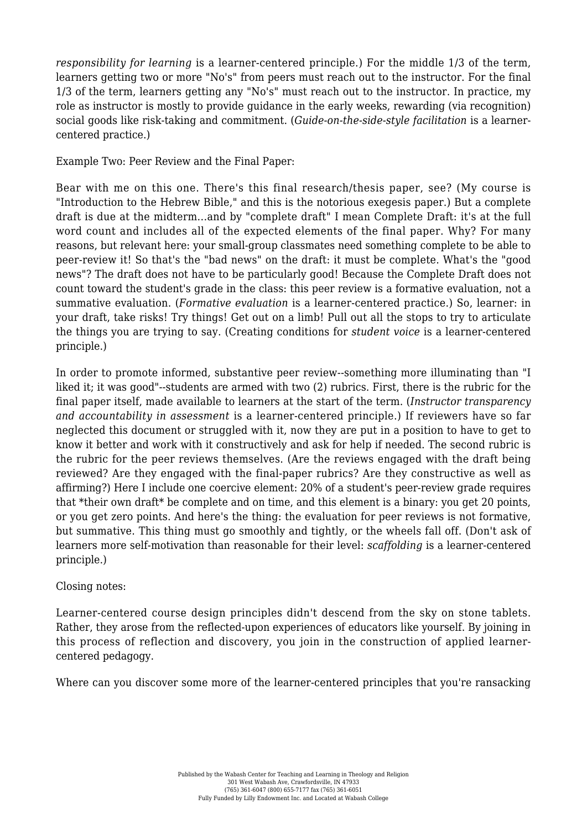*responsibility for learning* is a learner-centered principle.) For the middle 1/3 of the term, learners getting two or more "No's" from peers must reach out to the instructor. For the final 1/3 of the term, learners getting any "No's" must reach out to the instructor. In practice, my role as instructor is mostly to provide guidance in the early weeks, rewarding (via recognition) social goods like risk-taking and commitment. (*Guide-on-the-side-style facilitation* is a learnercentered practice.)

Example Two: Peer Review and the Final Paper:

Bear with me on this one. There's this final research/thesis paper, see? (My course is "Introduction to the Hebrew Bible," and this is the notorious exegesis paper.) But a complete draft is due at the midterm...and by "complete draft" I mean Complete Draft: it's at the full word count and includes all of the expected elements of the final paper. Why? For many reasons, but relevant here: your small-group classmates need something complete to be able to peer-review it! So that's the "bad news" on the draft: it must be complete. What's the "good news"? The draft does not have to be particularly good! Because the Complete Draft does not count toward the student's grade in the class: this peer review is a formative evaluation, not a summative evaluation. (*Formative evaluation* is a learner-centered practice.) So, learner: in your draft, take risks! Try things! Get out on a limb! Pull out all the stops to try to articulate the things you are trying to say. (Creating conditions for *student voice* is a learner-centered principle.)

In order to promote informed, substantive peer review--something more illuminating than "I liked it; it was good"--students are armed with two (2) rubrics. First, there is the rubric for the final paper itself, made available to learners at the start of the term. (*Instructor transparency and accountability in assessment* is a learner-centered principle.) If reviewers have so far neglected this document or struggled with it, now they are put in a position to have to get to know it better and work with it constructively and ask for help if needed. The second rubric is the rubric for the peer reviews themselves. (Are the reviews engaged with the draft being reviewed? Are they engaged with the final-paper rubrics? Are they constructive as well as affirming?) Here I include one coercive element: 20% of a student's peer-review grade requires that \*their own draft\* be complete and on time, and this element is a binary: you get 20 points, or you get zero points. And here's the thing: the evaluation for peer reviews is not formative, but summative. This thing must go smoothly and tightly, or the wheels fall off. (Don't ask of learners more self-motivation than reasonable for their level: *scaffolding* is a learner-centered principle.)

## Closing notes:

Learner-centered course design principles didn't descend from the sky on stone tablets. Rather, they arose from the reflected-upon experiences of educators like yourself. By joining in this process of reflection and discovery, you join in the construction of applied learnercentered pedagogy.

Where can you discover some more of the learner-centered principles that you're ransacking